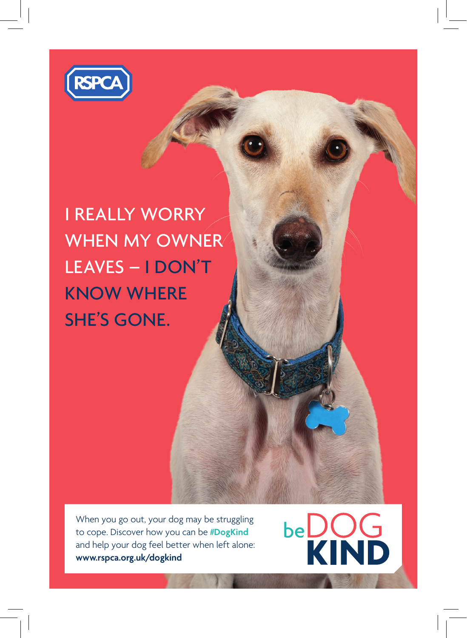

I REALLY WORRY WHEN MY OWNER LEAVES – I DON'T KNOW WHERE SHE'S GONE.

When you go out, your dog may be struggling to cope. Discover how you can be **#DogKind** and help your dog feel better when left alone: **www.rspca.org.uk/dogkind**

**beDOG**